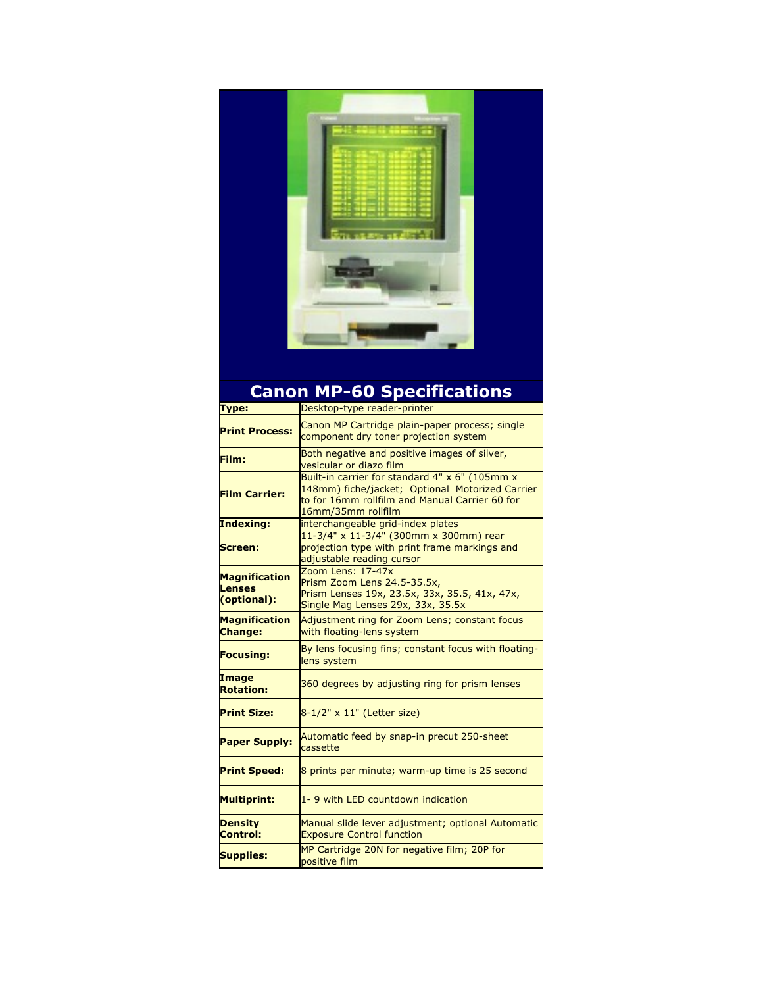

## **Canon MP-60 Specifications**

| <b>Type:</b>                                  | Desktop-type reader-printer                                                                                                                                               |
|-----------------------------------------------|---------------------------------------------------------------------------------------------------------------------------------------------------------------------------|
| <b>Print Process:</b>                         | Canon MP Cartridge plain-paper process; single<br>component dry toner projection system                                                                                   |
| Film:                                         | Both negative and positive images of silver,<br>vesicular or diazo film                                                                                                   |
| <b>Film Carrier:</b>                          | Built-in carrier for standard 4" x 6" (105mm x<br>148mm) fiche/jacket; Optional Motorized Carrier<br>to for 16mm rollfilm and Manual Carrier 60 for<br>16mm/35mm rollfilm |
| Indexing:                                     | interchangeable grid-index plates                                                                                                                                         |
| Screen:                                       | 11-3/4" x 11-3/4" (300mm x 300mm) rear<br>projection type with print frame markings and<br>adjustable reading cursor                                                      |
| Magnification<br><b>Lenses</b><br>(optional): | Zoom Lens: 17-47x<br>Prism Zoom Lens 24.5-35.5x,<br>Prism Lenses 19x, 23.5x, 33x, 35.5, 41x, 47x,<br>Single Mag Lenses 29x, 33x, 35.5x                                    |
| Magnification<br><b>Change:</b>               | Adjustment ring for Zoom Lens; constant focus<br>with floating-lens system                                                                                                |
| <b>Focusing:</b>                              | By lens focusing fins; constant focus with floating-<br>lens system                                                                                                       |
| <b>Image</b><br><b>Rotation:</b>              | 360 degrees by adjusting ring for prism lenses                                                                                                                            |
| <b>Print Size:</b>                            | 8-1/2" x 11" (Letter size)                                                                                                                                                |
| <b>Paper Supply:</b>                          | Automatic feed by snap-in precut 250-sheet<br>cassette                                                                                                                    |
| <b>Print Speed:</b>                           | 8 prints per minute; warm-up time is 25 second                                                                                                                            |
| <b>Multiprint:</b>                            | 1-9 with LED countdown indication                                                                                                                                         |
| <b>Density</b><br><b>Control:</b>             | Manual slide lever adjustment; optional Automatic<br><b>Exposure Control function</b>                                                                                     |
| <b>Supplies:</b>                              | MP Cartridge 20N for negative film; 20P for<br>positive film                                                                                                              |